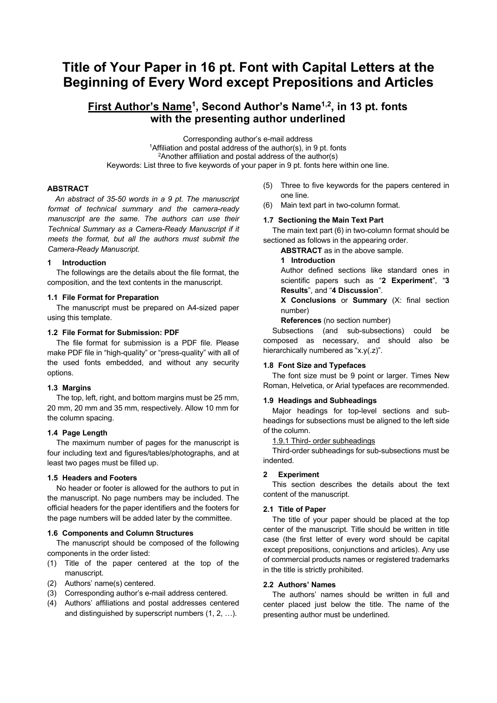# **Title of Your Paper in 16 pt. Font with Capital Letters at the Beginning of Every Word except Prepositions and Articles**

# **First Author's Name1, Second Author's Name1,2, in 13 pt. fonts with the presenting author underlined**

Corresponding author's e-mail address <sup>1</sup> Affiliation and postal address of the author(s), in 9 pt. fonts 2Another affiliation and postal address of the author(s) Keywords: List three to five keywords of your paper in 9 pt. fonts here within one line.

# **ABSTRACT**

*An abstract of 35-50 words in a 9 pt. The manuscript format of technical summary and the camera-ready manuscript are the same. The authors can use their Technical Summary as a Camera-Ready Manuscript if it meets the format, but all the authors must submit the Camera-Ready Manuscript.* 

# **1 Introduction**

The followings are the details about the file format, the composition, and the text contents in the manuscript.

# **1.1 File Format for Preparation**

The manuscript must be prepared on A4-sized paper using this template.

# **1.2 File Format for Submission: PDF**

The file format for submission is a PDF file. Please make PDF file in "high-quality" or "press-quality" with all of the used fonts embedded, and without any security options.

#### **1.3 Margins**

The top, left, right, and bottom margins must be 25 mm, 20 mm, 20 mm and 35 mm, respectively. Allow 10 mm for the column spacing.

# **1.4 Page Length**

The maximum number of pages for the manuscript is four including text and figures/tables/photographs, and at least two pages must be filled up.

### **1.5 Headers and Footers**

No header or footer is allowed for the authors to put in the manuscript. No page numbers may be included. The official headers for the paper identifiers and the footers for the page numbers will be added later by the committee.

#### **1.6 Components and Column Structures**

The manuscript should be composed of the following components in the order listed:

- (1) Title of the paper centered at the top of the manuscript.
- (2) Authors' name(s) centered.
- (3) Corresponding author's e-mail address centered.
- (4) Authors' affiliations and postal addresses centered and distinguished by superscript numbers (1, 2, …).
- (5) Three to five keywords for the papers centered in one line.
- (6) Main text part in two-column format.

#### **1.7 Sectioning the Main Text Part**

The main text part (6) in two-column format should be sectioned as follows in the appearing order.

**ABSTRACT** as in the above sample.

#### **1 Introduction**

Author defined sections like standard ones in scientific papers such as "**2 Experiment**", "**3 Results**", and "**4 Discussion**".

**X Conclusions** or **Summary** (X: final section number)

**References** (no section number)

Subsections (and sub-subsections) could be composed as necessary, and should also be hierarchically numbered as "x.y(.z)".

# **1.8 Font Size and Typefaces**

The font size must be 9 point or larger. Times New Roman, Helvetica, or Arial typefaces are recommended.

#### **1.9 Headings and Subheadings**

Major headings for top-level sections and subheadings for subsections must be aligned to the left side of the column.

# 1.9.1 Third- order subheadings

Third-order subheadings for sub-subsections must be indented.

#### **2 Experiment**

This section describes the details about the text content of the manuscript.

# **2.1 Title of Paper**

The title of your paper should be placed at the top center of the manuscript. Title should be written in title case (the first letter of every word should be capital except prepositions, conjunctions and articles). Any use of commercial products names or registered trademarks in the title is strictly prohibited.

# **2.2 Authors' Names**

The authors' names should be written in full and center placed just below the title. The name of the presenting author must be underlined.